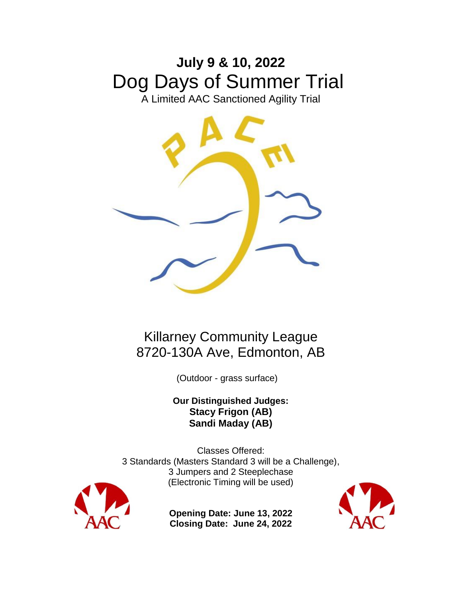# **July 9 & 10, 2022** Dog Days of Summer Trial

A Limited AAC Sanctioned Agility Trial



# Killarney Community League 8720-130A Ave, Edmonton, AB

(Outdoor - grass surface)

**Our Distinguished Judges: Stacy Frigon (AB) Sandi Maday (AB)**

Classes Offered: 3 Standards (Masters Standard 3 will be a Challenge), 3 Jumpers and 2 Steeplechase (Electronic Timing will be used)



**Opening Date: June 13, 2022 Closing Date: June 24, 2022**

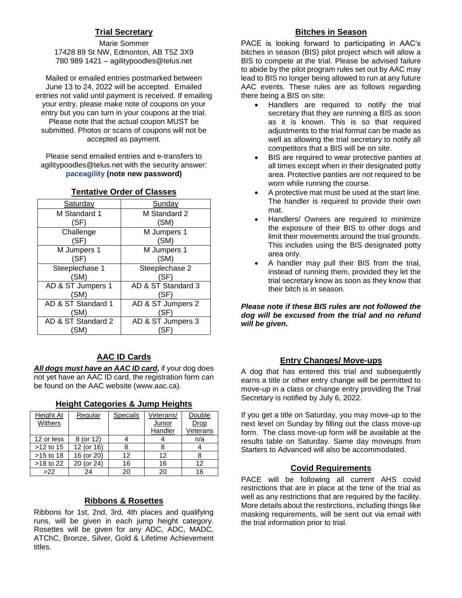#### **Trial Secretary**

Marie Sommer 17428 89 St NW, Edmonton, AB T5Z 3X9 780 989 1421 – agilitypoodles@telus.net

Mailed or emailed entries postmarked between June 13 to 24, 2022 will be accepted. Emailed entries not valid until payment is received. If emailing your entry, please make note of coupons on your entry but you can turn in your coupons at the trial. Please note that the actual coupon MUST be submitted. Photos or scans of coupons will not be accepted as payment.

Please send emailed entries and e-transfers to agilitypoodles@telus.net with the security answer: **paceagility (note new password)**

| Saturday           | Sunday             |
|--------------------|--------------------|
| M Standard 1       | M Standard 2       |
| (SF)               | (SM)               |
| Challenge          | M Jumpers 1        |
| (SF)               | (SM)               |
| M Jumpers 1        | M Jumpers 1        |
| (SF)               | (SM)               |
| Steeplechase 1     | Steeplechase 2     |
| (SM)               | (SF)               |
| AD & ST Jumpers 1  | AD & ST Standard 3 |
| (SM)               | (SF)               |
| AD & ST Standard 1 | AD & ST Jumpers 2  |
| (SM)               | (SF)               |
| AD & ST Standard 2 | AD & ST Jumpers 3  |
| (SM)               | 'SI                |

#### **Tentative Order of Classes**

#### **AAC ID Cards**

*All dogs must have an AAC ID card,* if your dog does not yet have an AAC ID card, the registration form can be found on the AAC website (www.aac.ca).

| Height At<br>Withers | Regular    | <b>Specials</b> | Veterans/<br><b>Junior</b><br>Handler | Double<br>Drop<br>Veterans |
|----------------------|------------|-----------------|---------------------------------------|----------------------------|
| 12 or less           | 8 (or 12)  |                 |                                       | n/a                        |
| $>12$ to 15          | 12 (or 16) | 8               | 8                                     |                            |
| $>15$ to 18          | 16 (or 20) | 12              | 12                                    |                            |
| $>18$ to 22          | 20 (or 24) | 16              | 16                                    | 12                         |
| >22                  | 24         | 20              | 20                                    | 16                         |

#### **Height Categories & Jump Heights**

#### **Ribbons & Rosettes**

Ribbons for 1st, 2nd, 3rd, 4th places and qualifying runs, will be given in each jump height category. Rosettes will be given for any ADC, ADC, MADC, ATChC, Bronze, Silver, Gold & Lifetime Achievement titles.

#### **Bitches in Season**

PACE is looking forward to participating in AAC's bitches in season (BIS) pilot project which will allow a BIS to compete at the trial. Please be advised failure to abide by the pilot program rules set out by AAC may lead to BIS no longer being allowed to run at any future AAC events. These rules are as follows regarding there being a BIS on site:

- Handlers are required to notify the trial secretary that they are running a BIS as soon as it is known. This is so that required adjustments to the trial format can be made as well as allowing the trial secretary to notify all competitors that a BIS will be on site.
- BIS are required to wear protective panties at all times except when in their designated potty area. Protective panties are not required to be worn while running the course.
- A protective mat must be used at the start line. The handler is required to provide their own mat.
- Handlers/ Owners are required to minimize the exposure of their BIS to other dogs and limit their movements around the trial grounds. This includes using the BIS designated potty area only.
- A handler may pull their BIS from the trial, instead of running them, provided they let the trial secretary know as soon as they know that their bitch is in season.

*Please note if these BIS rules are not followed the dog will be excused from the trial and no refund will be given.*

#### **Entry Changes/ Move-ups**

A dog that has entered this trial and subsequently earns a title or other entry change will be permitted to move-up in a class or change entry providing the Trial Secretary is notified by July 6, 2022.

If you get a title on Saturday, you may move-up to the next level on Sunday by filling out the class move-up form. The class move-up form will be available at the results table on Saturday. Same day moveups from Starters to Advanced will also be accommodated.

#### **Covid Requirements**

PACE will be following all current AHS covid restrictions that are in place at the time of the trial as well as any restrictions that are required by the facility. More details about the restirctions, including things like masking requirements, will be sent out via email with the trial information prior to trial.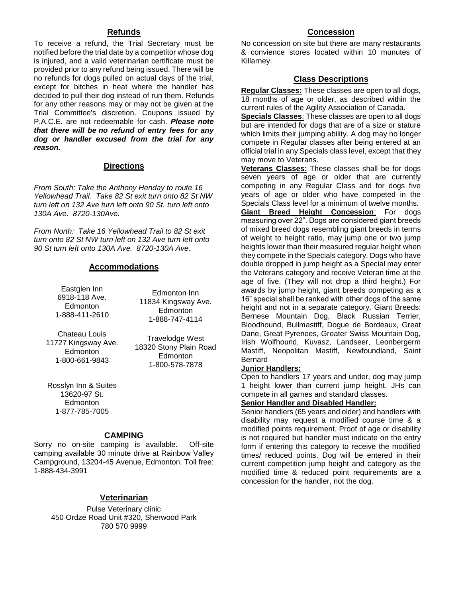#### **Refunds**

To receive a refund, the Trial Secretary must be notified before the trial date by a competitor whose dog is injured, and a valid veterinarian certificate must be provided prior to any refund being issued. There will be no refunds for dogs pulled on actual days of the trial, except for bitches in heat where the handler has decided to pull their dog instead of run them. Refunds for any other reasons may or may not be given at the Trial Committee's discretion. Coupons issued by P.A.C.E. are not redeemable for cash. *Please note that there will be no refund of entry fees for any dog or handler excused from the trial for any reason.*

#### **Directions**

*From South: Take the Anthony Henday to route 16 Yellowhead Trail. Take 82 St exit turn onto 82 St NW turn left on 132 Ave turn left onto 90 St. turn left onto 130A Ave. 8720-130Ave.*

*From North: Take 16 Yellowhead Trail to 82 St exit turn onto 82 St NW turn left on 132 Ave turn left onto 90 St turn left onto 130A Ave. 8720-130A Ave.*

#### **Accommodations**

Eastglen Inn 6918-118 Ave. Edmonton 1-888-411-2610

Edmonton Inn 11834 Kingsway Ave. Edmonton 1-888-747-4114

Chateau Louis 11727 Kingsway Ave. **Edmonton** 1-800-661-9843

Travelodge West 18320 Stony Plain Road **Edmonton** 1-800-578-7878

Rosslyn Inn & Suites 13620-97 St. Edmonton 1-877-785-7005

#### **CAMPING**

Sorry no on-site camping is available. Off-site camping available 30 minute drive at Rainbow Valley Campground, 13204-45 Avenue, Edmonton. Toll free: 1-888-434-3991

#### **Veterinarian**

Pulse Veterinary clinic 450 Ordze Road Unit #320, Sherwood Park 780 570 9999

#### **Concession**

No concession on site but there are many restaurants & convience stores located within 10 munutes of Killarney.

#### **Class Descriptions**

**Regular Classes:** These classes are open to all dogs, 18 months of age or older, as described within the current rules of the Agility Association of Canada.

**Specials Classes**: These classes are open to all dogs but are intended for dogs that are of a size or stature which limits their jumping ability. A dog may no longer compete in Regular classes after being entered at an official trial in any Specials class level, except that they may move to Veterans.

**Veterans Classes**: These classes shall be for dogs seven years of age or older that are currently competing in any Regular Class and for dogs five years of age or older who have competed in the Specials Class level for a minimum of twelve months.

**Giant Breed Height Concession**: For dogs measuring over 22". Dogs are considered giant breeds of mixed breed dogs resembling giant breeds in terms of weight to height ratio, may jump one or two jump heights lower than their measured regular height when they compete in the Specials category. Dogs who have double dropped in jump height as a Special may enter the Veterans category and receive Veteran time at the age of five. (They will not drop a third height.) For awards by jump height, giant breeds competing as a 16" special shall be ranked with other dogs of the same height and not in a separate category. Giant Breeds: Bernese Mountain Dog, Black Russian Terrier, Bloodhound, Bullmastiff, Dogue de Bordeaux, Great Dane, Great Pyrenees, Greater Swiss Mountain Dog, Irish Wolfhound, Kuvasz, Landseer, Leonbergerm Mastiff, Neopolitan Mastiff, Newfoundland, Saint Bernard

#### **Junior Handlers:**

Open to handlers 17 years and under, dog may jump 1 height lower than current jump height. JHs can compete in all games and standard classes.

#### **Senior Handler and Disabled Handler:**

Senior handlers (65 years and older) and handlers with disability may request a modified course time & a modified points requirement. Proof of age or disability is not required but handler must indicate on the entry form if entering this category to receive the modified times/ reduced points. Dog will be entered in their current competition jump height and category as the modified time & reduced point requirements are a concession for the handler, not the dog.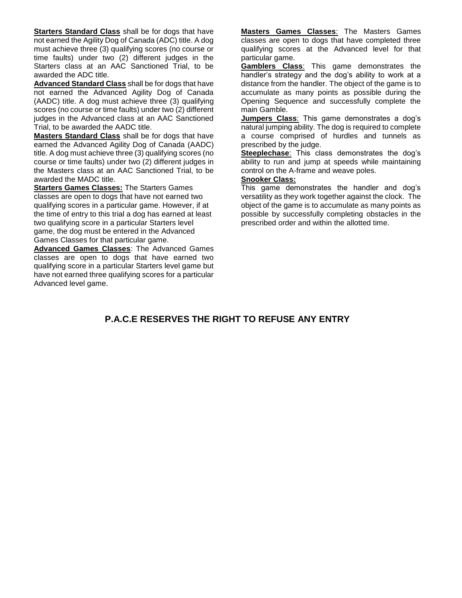**Starters Standard Class** shall be for dogs that have not earned the Agility Dog of Canada (ADC) title. A dog must achieve three (3) qualifying scores (no course or time faults) under two (2) different judges in the Starters class at an AAC Sanctioned Trial, to be awarded the ADC title.

**Advanced Standard Class** shall be for dogs that have not earned the Advanced Agility Dog of Canada (AADC) title. A dog must achieve three (3) qualifying scores (no course or time faults) under two (2) different judges in the Advanced class at an AAC Sanctioned Trial, to be awarded the AADC title.

**Masters Standard Class** shall be for dogs that have earned the Advanced Agility Dog of Canada (AADC) title. A dog must achieve three (3) qualifying scores (no course or time faults) under two (2) different judges in the Masters class at an AAC Sanctioned Trial, to be awarded the MADC title.

**Starters Games Classes:** The Starters Games classes are open to dogs that have not earned two qualifying scores in a particular game. However, if at the time of entry to this trial a dog has earned at least two qualifying score in a particular Starters level game, the dog must be entered in the Advanced Games Classes for that particular game.

**Advanced Games Classes**: The Advanced Games classes are open to dogs that have earned two qualifying score in a particular Starters level game but have not earned three qualifying scores for a particular Advanced level game.

**Masters Games Classes**: The Masters Games classes are open to dogs that have completed three qualifying scores at the Advanced level for that particular game.

**Gamblers Class**: This game demonstrates the handler's strategy and the dog's ability to work at a distance from the handler. The object of the game is to accumulate as many points as possible during the Opening Sequence and successfully complete the main Gamble.

**Jumpers Class**: This game demonstrates a dog's natural jumping ability. The dog is required to complete a course comprised of hurdles and tunnels as prescribed by the judge.

**Steeplechase**: This class demonstrates the dog's ability to run and jump at speeds while maintaining control on the A-frame and weave poles.

#### **Snooker Class:**

This game demonstrates the handler and dog's versatility as they work together against the clock. The object of the game is to accumulate as many points as possible by successfully completing obstacles in the prescribed order and within the allotted time.

### **P.A.C.E RESERVES THE RIGHT TO REFUSE ANY ENTRY**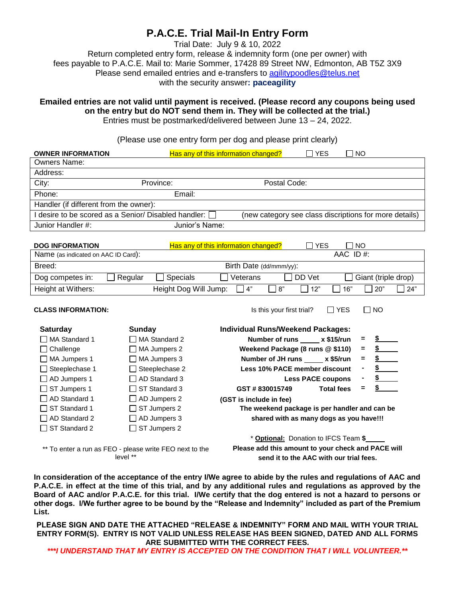# **P.A.C.E. Trial Mail-In Entry Form**

Trial Date: July 9 & 10, 2022

Return completed entry form, release & indemnity form (one per owner) with fees payable to P.A.C.E. Mail to: Marie Sommer, 17428 89 Street NW, Edmonton, AB T5Z 3X9 Please send emailed entries and e-transfers to [agilitypoodles@telus.net](file:///C:/Users/Marie/Desktop/agility%20entry%20forms/PACE%20trial%20secertary%20stuff/agilitypoodles@telus.net) with the security answer**: paceagility**

**Emailed entries are not valid until payment is received. (Please record any coupons being used on the entry but do NOT send them in. They will be collected at the trial.)** Entries must be postmarked/delivered between June 13 – 24, 2022.

(Please use one entry form per dog and please print clearly)

| <b>OWNER INFORMATION</b>                               | Has any of this information changed? |                                                        | ∏ YES | ∏ NO |  |  |  |
|--------------------------------------------------------|--------------------------------------|--------------------------------------------------------|-------|------|--|--|--|
| <b>Owners Name:</b>                                    |                                      |                                                        |       |      |  |  |  |
| Address:                                               |                                      |                                                        |       |      |  |  |  |
| City:<br>Province:                                     |                                      | Postal Code:                                           |       |      |  |  |  |
| Phone:                                                 | Email:                               |                                                        |       |      |  |  |  |
| Handler (if different from the owner):                 |                                      |                                                        |       |      |  |  |  |
| I desire to be scored as a Senior/ Disabled handler: [ |                                      | (new category see class discriptions for more details) |       |      |  |  |  |
| Junior Handler #:                                      | Junior's Name:                       |                                                        |       |      |  |  |  |

| <b>DOG INFORMATION</b>              |           | <b>YES</b><br><b>NO</b><br>Has any of this information changed? |                 |     |        |              |                     |      |
|-------------------------------------|-----------|-----------------------------------------------------------------|-----------------|-----|--------|--------------|---------------------|------|
| Name (as indicated on AAC ID Card): |           |                                                                 |                 |     |        | AAC ID $#$ : |                     |      |
| Breed:                              |           | Birth Date (dd/mmm/yy):                                         |                 |     |        |              |                     |      |
| Dog competes in:                    | ∐ Regular | Specials                                                        | Veterans        |     | DD Vet |              | Giant (triple drop) |      |
| Height at Withers:                  |           | Height Dog Will Jump:                                           | $\mathsf{I}4$ " | 18" | 12"    | 16"          | 20"                 | 124" |

| <b>CLASS INFORMATION:</b>                               |                       | Is this your first trial?                          | $\Box$ YES        | $\Box$ No                                                                                                                                                                                                                            |
|---------------------------------------------------------|-----------------------|----------------------------------------------------|-------------------|--------------------------------------------------------------------------------------------------------------------------------------------------------------------------------------------------------------------------------------|
| <b>Saturday</b>                                         | Sunday                | <b>Individual Runs/Weekend Packages:</b>           |                   |                                                                                                                                                                                                                                      |
| □ MA Standard 1                                         | $\Box$ MA Standard 2  | Number of runs _____ x \$15/run                    |                   | S and the set of the set of the set of the set of the set of the set of the set of the set of the set of the set of the set of the set of the set of the set of the set of the set of the set of the set of the set of the set<br>Ξ. |
| $\Box$ Challenge                                        | $\Box$ MA Jumpers 2   | Weekend Package (8 runs @ \$110)                   |                   | $\frac{\text{S}}{\text{S}}$<br>Ξ.                                                                                                                                                                                                    |
| MA Jumpers 1                                            | $\Box$ MA Jumpers 3   | Number of JH runs _____ x \$5/run                  |                   | $\frac{1}{2}$<br>Ξ.                                                                                                                                                                                                                  |
| $\Box$ Steeplechase 1                                   | $\Box$ Steeplechase 2 | <b>Less 10% PACE member discount</b>               |                   | $\sim$<br>۰                                                                                                                                                                                                                          |
| $\Box$ AD Jumpers 1                                     | $\Box$ AD Standard 3  | <b>Less PACE coupons</b>                           |                   | $\mathsf{s}$ and $\mathsf{s}$<br>٠                                                                                                                                                                                                   |
| $\Box$ ST Jumpers 1                                     | ST Standard 3         | GST#830015749                                      | <b>Total fees</b> | $=$                                                                                                                                                                                                                                  |
| $\Box$ AD Standard 1                                    | $\Box$ AD Jumpers 2   | (GST is include in fee)                            |                   |                                                                                                                                                                                                                                      |
| $\Box$ ST Standard 1                                    | $\Box$ ST Jumpers 2   | The weekend package is per handler and can be      |                   |                                                                                                                                                                                                                                      |
| $\Box$ AD Standard 2                                    | $\Box$ AD Jumpers 3   | shared with as many dogs as you have!!!            |                   |                                                                                                                                                                                                                                      |
| $\Box$ ST Standard 2                                    | $\Box$ ST Jumpers 2   |                                                    |                   |                                                                                                                                                                                                                                      |
|                                                         |                       | * Optional: Donation to IFCS Team \$               |                   |                                                                                                                                                                                                                                      |
| ** To enter a run as FEO - please write FEO next to the |                       | Please add this amount to your check and PACE will |                   |                                                                                                                                                                                                                                      |

level \*\*

**send it to the AAC with our trial fees.**

**In consideration of the acceptance of the entry I/We agree to abide by the rules and regulations of AAC and P.A.C.E. in effect at the time of this trial, and by any additional rules and regulations as approved by the Board of AAC and/or P.A.C.E. for this trial. I/We certify that the dog entered is not a hazard to persons or other dogs. I/We further agree to be bound by the "Release and Indemnity" included as part of the Premium List.** 

**PLEASE SIGN AND DATE THE ATTACHED "RELEASE & INDEMNITY" FORM AND MAIL WITH YOUR TRIAL ENTRY FORM(S). ENTRY IS NOT VALID UNLESS RELEASE HAS BEEN SIGNED, DATED AND ALL FORMS ARE SUBMITTED WITH THE CORRECT FEES.**

*\*\*\*I UNDERSTAND THAT MY ENTRY IS ACCEPTED ON THE CONDITION THAT I WILL VOLUNTEER.\*\**